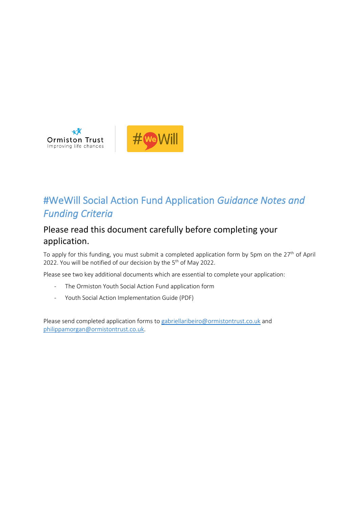

# #WeWill Social Action Fund Application *Guidance Notes and Funding Criteria*

Ĩ

# Please read this document carefully before completing your application.

To apply for this funding, you must submit a completed application form by 5pm on the 27<sup>th</sup> of April 2022. You will be notified of our decision by the  $5<sup>th</sup>$  of May 2022.

Please see two key additional documents which are essential to complete your application:

- The Ormiston Youth Social Action Fund application form
- Youth Social Action Implementation Guide (PDF)

Please send completed application forms to [gabriellaribeiro@ormistontrust.co.uk](mailto:gabriellaribeiro@ormistontrust.co.uk) and [philippamorgan@ormistontrust.co.uk.](mailto:philippamorgan@ormistontrust.co.uk)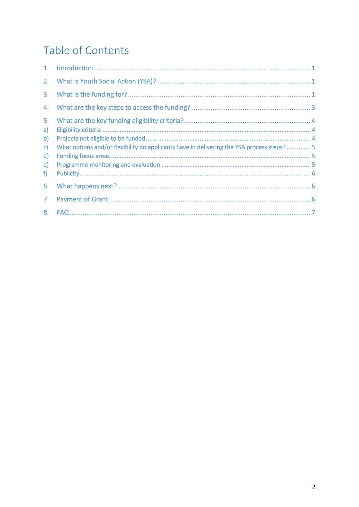# Table of Contents

| 5.           |                                                                                           |  |
|--------------|-------------------------------------------------------------------------------------------|--|
| a)           |                                                                                           |  |
| b)           |                                                                                           |  |
| $\mathsf{c}$ | What options and/or flexibility do applicants have in delivering the YSA process steps? 5 |  |
| $\mathsf{d}$ |                                                                                           |  |
| e)           |                                                                                           |  |
| f)           |                                                                                           |  |
| 6.           |                                                                                           |  |
| 7.           |                                                                                           |  |
| 8.           |                                                                                           |  |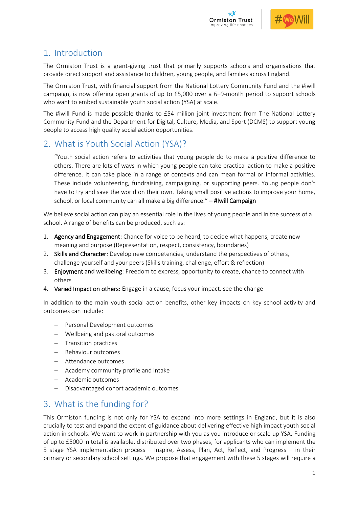



# <span id="page-2-0"></span>1. Introduction

The Ormiston Trust is a grant-giving trust that primarily supports schools and organisations that provide direct support and assistance to children, young people, and families across England.

The Ormiston Trust, with financial support from the National Lottery Community Fund and the #iwill campaign, is now offering open grants of up to £5,000 over a 6–9-month period to support schools who want to embed sustainable youth social action (YSA) at scale.

The #iwill Fund is made possible thanks to £54 million joint investment from The National Lottery Community Fund and the Department for Digital, Culture, Media, and Sport (DCMS) to support young people to access high quality social action opportunities.

## <span id="page-2-1"></span>2. What is Youth Social Action (YSA)?

"Youth social action refers to activities that young people do to make a positive difference to others. There are lots of ways in which young people can take practical action to make a positive difference. It can take place in a range of contexts and can mean formal or informal activities. These include volunteering, fundraising, campaigning, or supporting peers. Young people don't have to try and save the world on their own. Taking small positive actions to improve your home, school, or local community can all make a big difference*.*" – #Iwill Campaign

We believe social action can play an essential role in the lives of young people and in the success of a school. A range of benefits can be produced, such as:

- 1. Agency and Engagement: Chance for voice to be heard, to decide what happens, create new meaning and purpose (Representation, respect, consistency, boundaries)
- 2. Skills and Character: Develop new competencies, understand the perspectives of others, challenge yourself and your peers (Skills training, challenge, effort & reflection)
- 3. Enjoyment and wellbeing: Freedom to express, opportunity to create, chance to connect with others
- 4. Varied Impact on others: Engage in a cause, focus your impact, see the change

In addition to the main youth social action benefits, other key impacts on key school activity and outcomes can include:

- − Personal Development outcomes
- − Wellbeing and pastoral outcomes
- − Transition practices
- − Behaviour outcomes
- − Attendance outcomes
- − Academy community profile and intake
- − Academic outcomes
- − Disadvantaged cohort academic outcomes

# <span id="page-2-2"></span>3. What is the funding for?

This Ormiston funding is not only for YSA to expand into more settings in England, but it is also crucially to test and expand the extent of guidance about delivering effective high impact youth social action in schools. We want to work in partnership with you as you introduce or scale up YSA. Funding of up to £5000 in total is available, distributed over two phases, for applicants who can implement the 5 stage YSA implementation process – Inspire, Assess, Plan, Act, Reflect, and Progress – in their primary or secondary school settings. We propose that engagement with these 5 stages will require a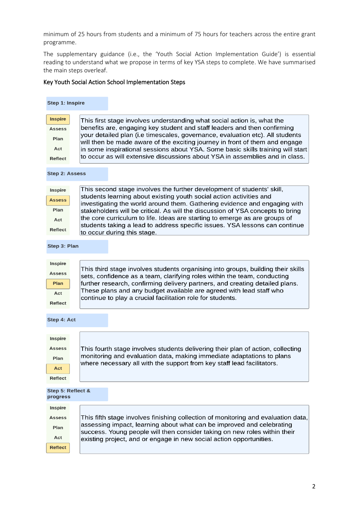minimum of 25 hours from students and a minimum of 75 hours for teachers across the entire grant programme.

The supplementary guidance (i.e., the 'Youth Social Action Implementation Guide') is essential reading to understand what we propose in terms of key YSA steps to complete. We have summarised the main steps overleaf.

#### Key Youth Social Action School Implementation Steps

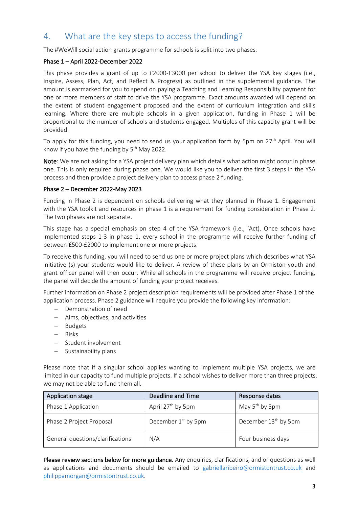## <span id="page-4-0"></span>4. What are the key steps to access the funding?

The #WeWill social action grants programme for schools is split into two phases.

#### Phase 1 – April 2022-December 2022

This phase provides a grant of up to £2000-£3000 per school to deliver the YSA key stages (i.e., Inspire, Assess, Plan, Act, and Reflect & Progress) as outlined in the supplemental guidance. The amount is earmarked for you to spend on paying a Teaching and Learning Responsibility payment for one or more members of staff to drive the YSA programme. Exact amounts awarded will depend on the extent of student engagement proposed and the extent of curriculum integration and skills learning. Where there are multiple schools in a given application, funding in Phase 1 will be proportional to the number of schools and students engaged. Multiples of this capacity grant will be provided.

To apply for this funding, you need to send us your application form by 5pm on 27<sup>th</sup> April. You will know if you have the funding by 5<sup>th</sup> May 2022.

Note: We are not asking for a YSA project delivery plan which details what action might occur in phase one. This is only required during phase one. We would like you to deliver the first 3 steps in the YSA process and then provide a project delivery plan to access phase 2 funding.

#### Phase 2 – December 2022-May 2023

Funding in Phase 2 is dependent on schools delivering what they planned in Phase 1. Engagement with the YSA toolkit and resources in phase 1 is a requirement for funding consideration in Phase 2. The two phases are not separate.

This stage has a special emphasis on step 4 of the YSA framework (i.e., 'Act). Once schools have implemented steps 1-3 in phase 1, every school in the programme will receive further funding of between £500-£2000 to implement one or more projects.

To receive this funding, you will need to send us one or more project plans which describes what YSA initiative (s) your students would like to deliver. A review of these plans by an Ormiston youth and grant officer panel will then occur. While all schools in the programme will receive project funding, the panel will decide the amount of funding your project receives.

Further information on Phase 2 project description requirements will be provided after Phase 1 of the application process. Phase 2 guidance will require you provide the following key information:

- − Demonstration of need
- − Aims, objectives, and activities
- − Budgets
- − Risks
- − Student involvement
- − Sustainability plans

Please note that if a singular school applies wanting to implement multiple YSA projects, we are limited in our capacity to fund multiple projects. If a school wishes to deliver more than three projects, we may not be able to fund them all.

| Application stage                | Deadline and Time               | Response dates                   |
|----------------------------------|---------------------------------|----------------------------------|
| Phase 1 Application              | April 27 <sup>th</sup> by 5pm   | May 5 <sup>th</sup> by 5pm       |
| Phase 2 Project Proposal         | December 1 <sup>st</sup> by 5pm | December 13 <sup>th</sup> by 5pm |
| General questions/clarifications | N/A                             | Four business days               |

Please review sections below for more guidance. Any enquiries, clarifications, and or questions as well as applications and documents should be emailed to [gabriellaribeiro@ormistontrust.co.uk](mailto:gabriellaribeiro@ormistontrust.co.uk) and [philippamorgan@ormistontrust.co.uk.](mailto:philippamorgan@ormistontrust.co.uk)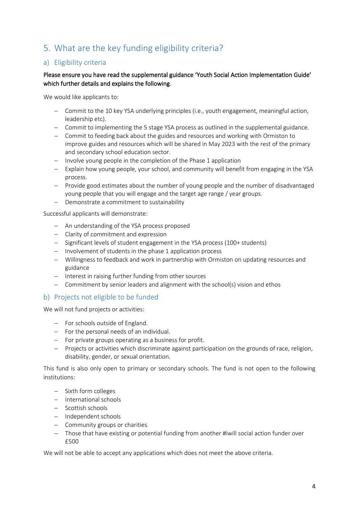# <span id="page-5-0"></span>5. What are the key funding eligibility criteria?

### <span id="page-5-1"></span>a) Eligibility criteria

#### Please ensure you have read the supplemental guidance 'Youth Social Action Implementation Guide' which further details and explains the following.

We would like applicants to:

- − Commit to the 10 key YSA underlying principles (i.e., youth engagement, meaningful action, leadership etc).
- − Commit to implementing the 5 stage YSA process as outlined in the supplemental guidance.
- − Commit to feeding back about the guides and resources and working with Ormiston to improve guides and resources which will be shared in May 2023 with the rest of the primary and secondary school education sector.
- − Involve young people in the completion of the Phase 1 application
- − Explain how young people, your school, and community will benefit from engaging in the YSA process.
- − Provide good estimates about the number of young people and the number of disadvantaged young people that you will engage and the target age range / year groups.
- − Demonstrate a commitment to sustainability

Successful applicants will demonstrate:

- − An understanding of the YSA process proposed
- − Clarity of commitment and expression
- − Significant levels of student engagement in the YSA process (100+ students)
- − Involvement of students in the phase 1 application process
- − Willingness to feedback and work in partnership with Ormiston on updating resources and guidance
- − Interest in raising further funding from other sources
- − Commitment by senior leaders and alignment with the school(s) vision and ethos

#### <span id="page-5-2"></span>b) Projects not eligible to be funded

We will not fund projects or activities:

- − For schools outside of England.
- − For the personal needs of an individual.
- − For private groups operating as a business for profit.
- − Projects or activities which discriminate against participation on the grounds of race, religion, disability, gender, or sexual orientation.

This fund is also only open to primary or secondary schools. The fund is not open to the following institutions:

- − Sixth form colleges
- − International schools
- − Scottish schools
- − Independent schools
- − Community groups or charities
- − Those that have existing or potential funding from another #iwill social action funder over £500

We will not be able to accept any applications which does not meet the above criteria.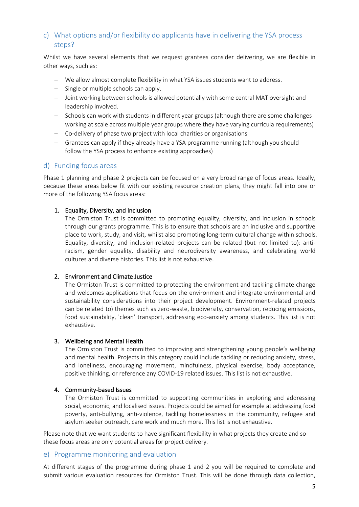### <span id="page-6-0"></span>c) What options and/or flexibility do applicants have in delivering the YSA process steps?

Whilst we have several elements that we request grantees consider delivering, we are flexible in other ways, such as:

- − We allow almost complete flexibility in what YSA issues students want to address.
- − Single or multiple schools can apply.
- − Joint working between schools is allowed potentially with some central MAT oversight and leadership involved.
- − Schools can work with students in different year groups (although there are some challenges working at scale across multiple year groups where they have varying curricula requirements)
- − Co-delivery of phase two project with local charities or organisations
- − Grantees can apply if they already have a YSA programme running (although you should follow the YSA process to enhance existing approaches)

#### <span id="page-6-1"></span>d) Funding focus areas

Phase 1 planning and phase 2 projects can be focused on a very broad range of focus areas. Ideally, because these areas below fit with our existing resource creation plans, they might fall into one or more of the following YSA focus areas:

#### 1. Equality, Diversity, and Inclusion

The Ormiston Trust is committed to promoting equality, diversity, and inclusion in schools through our grants programme. This is to ensure that schools are an inclusive and supportive place to work, study, and visit, whilst also promoting long-term cultural change within schools. Equality, diversity, and inclusion-related projects can be related (but not limited to): antiracism, gender equality, disability and neurodiversity awareness, and celebrating world cultures and diverse histories. This list is not exhaustive.

#### 2. Environment and Climate Justice

The Ormiston Trust is committed to protecting the environment and tackling climate change and welcomes applications that focus on the environment and integrate environmental and sustainability considerations into their project development. Environment-related projects can be related to) themes such as zero-waste, biodiversity, conservation, reducing emissions, food sustainability, 'clean' transport, addressing eco-anxiety among students. This list is not exhaustive.

#### 3. Wellbeing and Mental Health

The Ormiston Trust is committed to improving and strengthening young people's wellbeing and mental health. Projects in this category could include tackling or reducing anxiety, stress, and loneliness, encouraging movement, mindfulness, physical exercise, body acceptance, positive thinking, or reference any COVID-19 related issues. This list is not exhaustive.

#### 4. Community-based Issues

The Ormiston Trust is committed to supporting communities in exploring and addressing social, economic, and localised issues. Projects could be aimed for example at addressing food poverty, anti-bullying, anti-violence, tackling homelessness in the community, refugee and asylum seeker outreach, care work and much more. This list is not exhaustive.

Please note that we want students to have significant flexibility in what projects they create and so these focus areas are only potential areas for project delivery.

#### <span id="page-6-2"></span>e) Programme monitoring and evaluation

At different stages of the programme during phase 1 and 2 you will be required to complete and submit various evaluation resources for Ormiston Trust. This will be done through data collection,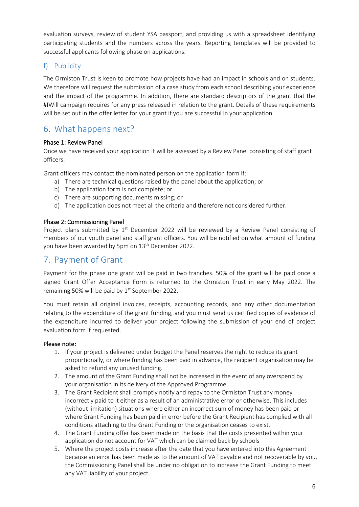evaluation surveys, review of student YSA passport, and providing us with a spreadsheet identifying participating students and the numbers across the years. Reporting templates will be provided to successful applicants following phase on applications.

### <span id="page-7-0"></span>f) Publicity

The Ormiston Trust is keen to promote how projects have had an impact in schools and on students. We therefore will request the submission of a case study from each school describing your experience and the impact of the programme. In addition, there are standard descriptors of the grant that the #IWill campaign requires for any press released in relation to the grant. Details of these requirements will be set out in the offer letter for your grant if you are successful in your application.

## <span id="page-7-1"></span>6. What happens next?

#### Phase 1: Review Panel

Once we have received your application it will be assessed by a Review Panel consisting of staff grant officers.

Grant officers may contact the nominated person on the application form if:

- a) There are technical questions raised by the panel about the application; or
- b) The application form is not complete; or
- c) There are supporting documents missing; or
- d) The application does not meet all the criteria and therefore not considered further.

#### Phase 2: Commissioning Panel

Project plans submitted by 1<sup>st</sup> December 2022 will be reviewed by a Review Panel consisting of members of our youth panel and staff grant officers. You will be notified on what amount of funding you have been awarded by 5pm on 13<sup>th</sup> December 2022.

### <span id="page-7-2"></span>7. Payment of Grant

Payment for the phase one grant will be paid in two tranches. 50% of the grant will be paid once a signed Grant Offer Acceptance Form is returned to the Ormiston Trust in early May 2022. The remaining 50% will be paid by 1<sup>st</sup> September 2022.

You must retain all original invoices, receipts, accounting records, and any other documentation relating to the expenditure of the grant funding, and you must send us certified copies of evidence of the expenditure incurred to deliver your project following the submission of your end of project evaluation form if requested.

#### Please note:

- 1. If your project is delivered under budget the Panel reserves the right to reduce its grant proportionally, or where funding has been paid in advance, the recipient organisation may be asked to refund any unused funding.
- 2. The amount of the Grant Funding shall not be increased in the event of any overspend by your organisation in its delivery of the Approved Programme.
- 3. The Grant Recipient shall promptly notify and repay to the Ormiston Trust any money incorrectly paid to it either as a result of an administrative error or otherwise. This includes (without limitation) situations where either an incorrect sum of money has been paid or where Grant Funding has been paid in error before the Grant Recipient has complied with all conditions attaching to the Grant Funding or the organisation ceases to exist.
- 4. The Grant Funding offer has been made on the basis that the costs presented within your application do not account for VAT which can be claimed back by schools
- 5. Where the project costs increase after the date that you have entered into this Agreement because an error has been made as to the amount of VAT payable and not recoverable by you, the Commissioning Panel shall be under no obligation to increase the Grant Funding to meet any VAT liability of your project.